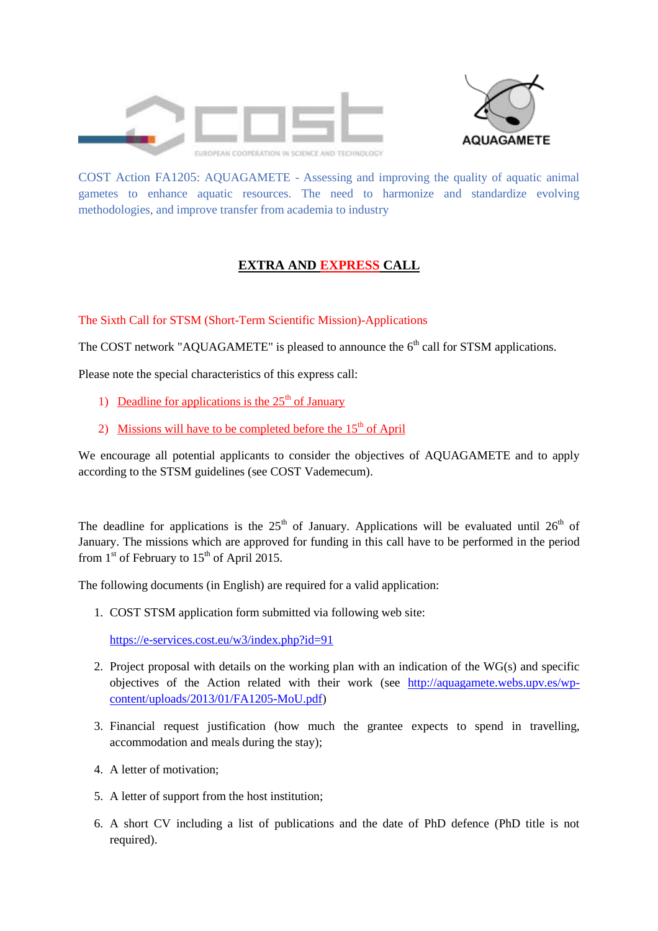



COST Action FA1205: AQUAGAMETE - Assessing and improving the quality of aquatic animal gametes to enhance aquatic resources. The need to harmonize and standardize evolving methodologies, and improve transfer from academia to industry

## **EXTRA AND EXPRESS CALL**

The Sixth Call for STSM (Short-Term Scientific Mission)-Applications

The COST network "AQUAGAMETE" is pleased to announce the  $6<sup>th</sup>$  call for STSM applications.

Please note the special characteristics of this express call:

- 1) Deadline for applications is the  $25<sup>th</sup>$  of January
- 2) Missions will have to be completed before the  $15<sup>th</sup>$  of April

We encourage all potential applicants to consider the objectives of AQUAGAMETE and to apply according to the STSM guidelines (see COST Vademecum).

The deadline for applications is the  $25<sup>th</sup>$  of January. Applications will be evaluated until  $26<sup>th</sup>$  of January. The missions which are approved for funding in this call have to be performed in the period from  $1<sup>st</sup>$  of February to  $15<sup>th</sup>$  of April 2015.

The following documents (in English) are required for a valid application:

1. COST STSM application form submitted via following web site:

<https://e-services.cost.eu/w3/index.php?id=91>

- 2. Project proposal with details on the working plan with an indication of the WG(s) and specific objectives of the Action related with their work (see [http://aquagamete.webs.upv.es/wp](http://aquagamete.webs.upv.es/wp-content/uploads/2013/01/FA1205-MoU.pdf)[content/uploads/2013/01/FA1205-MoU.pdf\)](http://aquagamete.webs.upv.es/wp-content/uploads/2013/01/FA1205-MoU.pdf)
- 3. Financial request justification (how much the grantee expects to spend in travelling, accommodation and meals during the stay);
- 4. A letter of motivation;
- 5. A letter of support from the host institution;
- 6. A short CV including a list of publications and the date of PhD defence (PhD title is not required).